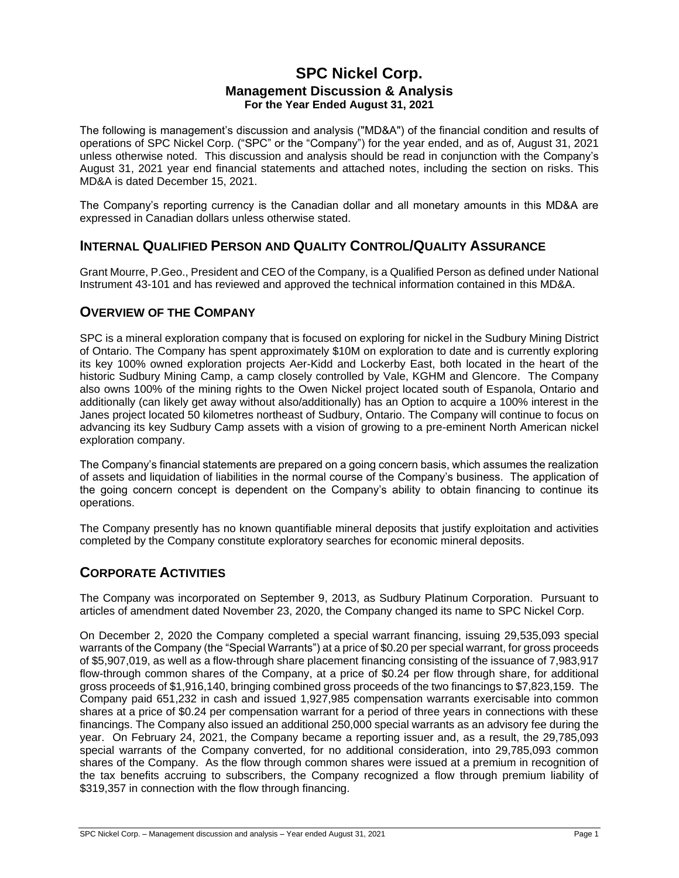# **SPC Nickel Corp. Management Discussion & Analysis For the Year Ended August 31, 2021**

The following is management's discussion and analysis ("MD&A") of the financial condition and results of operations of SPC Nickel Corp. ("SPC" or the "Company") for the year ended, and as of, August 31, 2021 unless otherwise noted. This discussion and analysis should be read in conjunction with the Company's August 31, 2021 year end financial statements and attached notes, including the section on risks. This MD&A is dated December 15, 2021.

The Company's reporting currency is the Canadian dollar and all monetary amounts in this MD&A are expressed in Canadian dollars unless otherwise stated.

### **INTERNAL QUALIFIED PERSON AND QUALITY CONTROL/QUALITY ASSURANCE**

Grant Mourre, P.Geo., President and CEO of the Company, is a Qualified Person as defined under National Instrument 43-101 and has reviewed and approved the technical information contained in this MD&A.

### **OVERVIEW OF THE COMPANY**

SPC is a mineral exploration company that is focused on exploring for nickel in the Sudbury Mining District of Ontario. The Company has spent approximately \$10M on exploration to date and is currently exploring its key 100% owned exploration projects Aer-Kidd and Lockerby East, both located in the heart of the historic Sudbury Mining Camp, a camp closely controlled by Vale, KGHM and Glencore. The Company also owns 100% of the mining rights to the Owen Nickel project located south of Espanola, Ontario and additionally (can likely get away without also/additionally) has an Option to acquire a 100% interest in the Janes project located 50 kilometres northeast of Sudbury, Ontario. The Company will continue to focus on advancing its key Sudbury Camp assets with a vision of growing to a pre-eminent North American nickel exploration company.

The Company's financial statements are prepared on a going concern basis, which assumes the realization of assets and liquidation of liabilities in the normal course of the Company's business. The application of the going concern concept is dependent on the Company's ability to obtain financing to continue its operations.

The Company presently has no known quantifiable mineral deposits that justify exploitation and activities completed by the Company constitute exploratory searches for economic mineral deposits.

# **CORPORATE ACTIVITIES**

The Company was incorporated on September 9, 2013, as Sudbury Platinum Corporation. Pursuant to articles of amendment dated November 23, 2020, the Company changed its name to SPC Nickel Corp.

On December 2, 2020 the Company completed a special warrant financing, issuing 29,535,093 special warrants of the Company (the "Special Warrants") at a price of \$0.20 per special warrant, for gross proceeds of \$5,907,019, as well as a flow-through share placement financing consisting of the issuance of 7,983,917 flow-through common shares of the Company, at a price of \$0.24 per flow through share, for additional gross proceeds of \$1,916,140, bringing combined gross proceeds of the two financings to \$7,823,159. The Company paid 651,232 in cash and issued 1,927,985 compensation warrants exercisable into common shares at a price of \$0.24 per compensation warrant for a period of three years in connections with these financings. The Company also issued an additional 250,000 special warrants as an advisory fee during the year. On February 24, 2021, the Company became a reporting issuer and, as a result, the 29,785,093 special warrants of the Company converted, for no additional consideration, into 29,785,093 common shares of the Company. As the flow through common shares were issued at a premium in recognition of the tax benefits accruing to subscribers, the Company recognized a flow through premium liability of \$319,357 in connection with the flow through financing.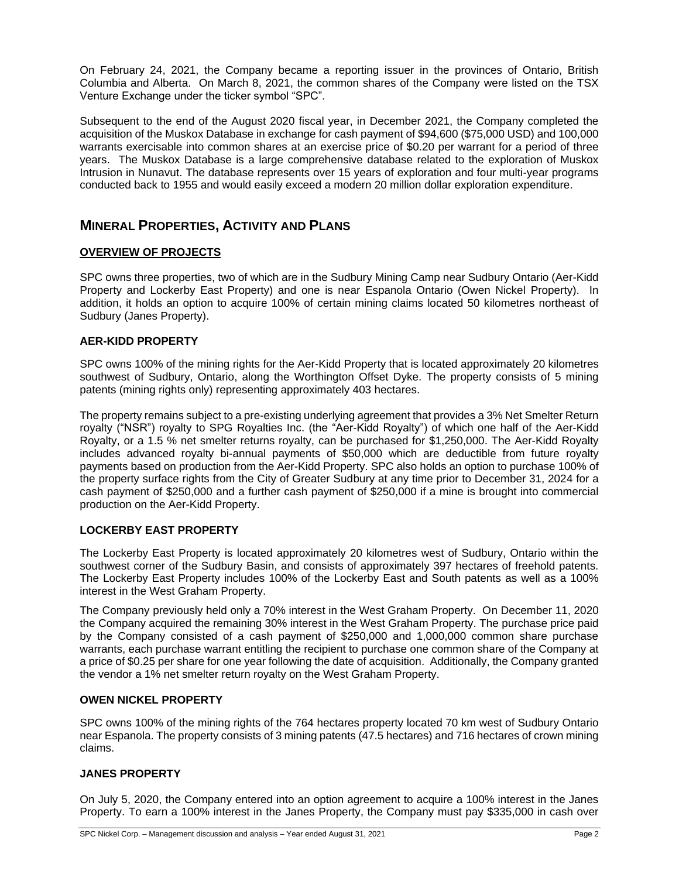On February 24, 2021, the Company became a reporting issuer in the provinces of Ontario, British Columbia and Alberta. On March 8, 2021, the common shares of the Company were listed on the TSX Venture Exchange under the ticker symbol "SPC".

Subsequent to the end of the August 2020 fiscal year, in December 2021, the Company completed the acquisition of the Muskox Database in exchange for cash payment of \$94,600 (\$75,000 USD) and 100,000 warrants exercisable into common shares at an exercise price of \$0.20 per warrant for a period of three years. The Muskox Database is a large comprehensive database related to the exploration of Muskox Intrusion in Nunavut. The database represents over 15 years of exploration and four multi-year programs conducted back to 1955 and would easily exceed a modern 20 million dollar exploration expenditure.

### **MINERAL PROPERTIES, ACTIVITY AND PLANS**

### **OVERVIEW OF PROJECTS**

SPC owns three properties, two of which are in the Sudbury Mining Camp near Sudbury Ontario (Aer-Kidd Property and Lockerby East Property) and one is near Espanola Ontario (Owen Nickel Property). In addition, it holds an option to acquire 100% of certain mining claims located 50 kilometres northeast of Sudbury (Janes Property).

#### **AER-KIDD PROPERTY**

SPC owns 100% of the mining rights for the Aer-Kidd Property that is located approximately 20 kilometres southwest of Sudbury, Ontario, along the Worthington Offset Dyke. The property consists of 5 mining patents (mining rights only) representing approximately 403 hectares.

The property remains subject to a pre-existing underlying agreement that provides a 3% Net Smelter Return royalty ("NSR") royalty to SPG Royalties Inc. (the "Aer-Kidd Royalty") of which one half of the Aer-Kidd Royalty, or a 1.5 % net smelter returns royalty, can be purchased for \$1,250,000. The Aer-Kidd Royalty includes advanced royalty bi-annual payments of \$50,000 which are deductible from future royalty payments based on production from the Aer-Kidd Property. SPC also holds an option to purchase 100% of the property surface rights from the City of Greater Sudbury at any time prior to December 31, 2024 for a cash payment of \$250,000 and a further cash payment of \$250,000 if a mine is brought into commercial production on the Aer-Kidd Property.

### **LOCKERBY EAST PROPERTY**

The Lockerby East Property is located approximately 20 kilometres west of Sudbury, Ontario within the southwest corner of the Sudbury Basin, and consists of approximately 397 hectares of freehold patents. The Lockerby East Property includes 100% of the Lockerby East and South patents as well as a 100% interest in the West Graham Property.

The Company previously held only a 70% interest in the West Graham Property. On December 11, 2020 the Company acquired the remaining 30% interest in the West Graham Property. The purchase price paid by the Company consisted of a cash payment of \$250,000 and 1,000,000 common share purchase warrants, each purchase warrant entitling the recipient to purchase one common share of the Company at a price of \$0.25 per share for one year following the date of acquisition. Additionally, the Company granted the vendor a 1% net smelter return royalty on the West Graham Property.

#### **OWEN NICKEL PROPERTY**

SPC owns 100% of the mining rights of the 764 hectares property located 70 km west of Sudbury Ontario near Espanola. The property consists of 3 mining patents (47.5 hectares) and 716 hectares of crown mining claims.

### **JANES PROPERTY**

On July 5, 2020, the Company entered into an option agreement to acquire a 100% interest in the Janes Property. To earn a 100% interest in the Janes Property, the Company must pay \$335,000 in cash over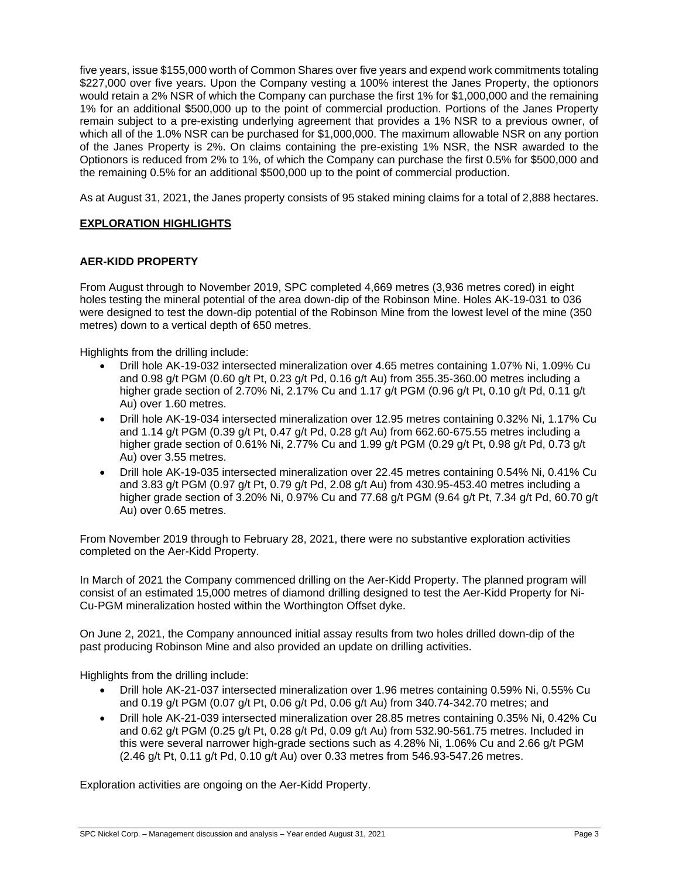five years, issue \$155,000 worth of Common Shares over five years and expend work commitments totaling \$227,000 over five years. Upon the Company vesting a 100% interest the Janes Property, the optionors would retain a 2% NSR of which the Company can purchase the first 1% for \$1,000,000 and the remaining 1% for an additional \$500,000 up to the point of commercial production. Portions of the Janes Property remain subject to a pre-existing underlying agreement that provides a 1% NSR to a previous owner, of which all of the 1.0% NSR can be purchased for \$1,000,000. The maximum allowable NSR on any portion of the Janes Property is 2%. On claims containing the pre-existing 1% NSR, the NSR awarded to the Optionors is reduced from 2% to 1%, of which the Company can purchase the first 0.5% for \$500,000 and the remaining 0.5% for an additional \$500,000 up to the point of commercial production.

As at August 31, 2021, the Janes property consists of 95 staked mining claims for a total of 2,888 hectares.

### **EXPLORATION HIGHLIGHTS**

### **AER-KIDD PROPERTY**

From August through to November 2019, SPC completed 4,669 metres (3,936 metres cored) in eight holes testing the mineral potential of the area down-dip of the Robinson Mine. Holes AK-19-031 to 036 were designed to test the down-dip potential of the Robinson Mine from the lowest level of the mine (350 metres) down to a vertical depth of 650 metres.

Highlights from the drilling include:

- Drill hole AK-19-032 intersected mineralization over 4.65 metres containing 1.07% Ni, 1.09% Cu and 0.98 g/t PGM (0.60 g/t Pt, 0.23 g/t Pd, 0.16 g/t Au) from 355.35-360.00 metres including a higher grade section of 2.70% Ni, 2.17% Cu and 1.17 g/t PGM (0.96 g/t Pt, 0.10 g/t Pd, 0.11 g/t Au) over 1.60 metres.
- Drill hole AK-19-034 intersected mineralization over 12.95 metres containing 0.32% Ni, 1.17% Cu and 1.14 g/t PGM (0.39 g/t Pt, 0.47 g/t Pd, 0.28 g/t Au) from 662.60-675.55 metres including a higher grade section of 0.61% Ni, 2.77% Cu and 1.99 g/t PGM (0.29 g/t Pt, 0.98 g/t Pd, 0.73 g/t Au) over 3.55 metres.
- Drill hole AK-19-035 intersected mineralization over 22.45 metres containing 0.54% Ni, 0.41% Cu and 3.83 g/t PGM (0.97 g/t Pt, 0.79 g/t Pd, 2.08 g/t Au) from 430.95-453.40 metres including a higher grade section of 3.20% Ni, 0.97% Cu and 77.68 g/t PGM (9.64 g/t Pt, 7.34 g/t Pd, 60.70 g/t Au) over 0.65 metres.

From November 2019 through to February 28, 2021, there were no substantive exploration activities completed on the Aer-Kidd Property.

In March of 2021 the Company commenced drilling on the Aer-Kidd Property. The planned program will consist of an estimated 15,000 metres of diamond drilling designed to test the Aer-Kidd Property for Ni-Cu-PGM mineralization hosted within the Worthington Offset dyke.

On June 2, 2021, the Company announced initial assay results from two holes drilled down-dip of the past producing Robinson Mine and also provided an update on drilling activities.

Highlights from the drilling include:

- Drill hole AK-21-037 intersected mineralization over 1.96 metres containing 0.59% Ni, 0.55% Cu and 0.19 g/t PGM (0.07 g/t Pt, 0.06 g/t Pd, 0.06 g/t Au) from 340.74-342.70 metres; and
- Drill hole AK-21-039 intersected mineralization over 28.85 metres containing 0.35% Ni, 0.42% Cu and 0.62 g/t PGM (0.25 g/t Pt, 0.28 g/t Pd, 0.09 g/t Au) from 532.90-561.75 metres. Included in this were several narrower high-grade sections such as 4.28% Ni, 1.06% Cu and 2.66 g/t PGM (2.46 g/t Pt, 0.11 g/t Pd, 0.10 g/t Au) over 0.33 metres from 546.93-547.26 metres.

Exploration activities are ongoing on the Aer-Kidd Property.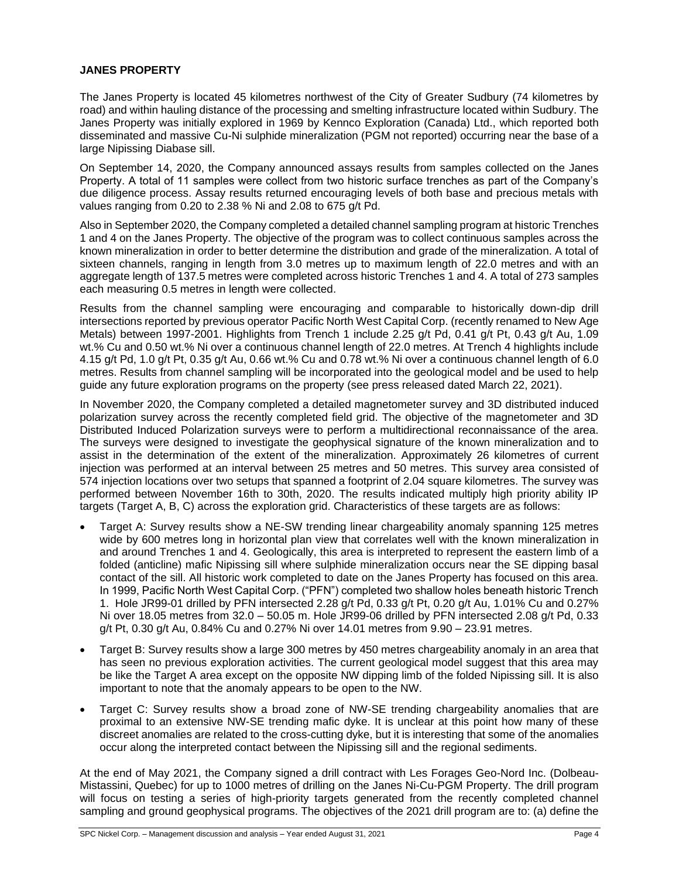#### **JANES PROPERTY**

The Janes Property is located 45 kilometres northwest of the City of Greater Sudbury (74 kilometres by road) and within hauling distance of the processing and smelting infrastructure located within Sudbury. The Janes Property was initially explored in 1969 by Kennco Exploration (Canada) Ltd., which reported both disseminated and massive Cu-Ni sulphide mineralization (PGM not reported) occurring near the base of a large Nipissing Diabase sill.

On September 14, 2020, the Company announced assays results from samples collected on the Janes Property. A total of 11 samples were collect from two historic surface trenches as part of the Company's due diligence process. Assay results returned encouraging levels of both base and precious metals with values ranging from 0.20 to 2.38 % Ni and 2.08 to 675 g/t Pd.

Also in September 2020, the Company completed a detailed channel sampling program at historic Trenches 1 and 4 on the Janes Property. The objective of the program was to collect continuous samples across the known mineralization in order to better determine the distribution and grade of the mineralization. A total of sixteen channels, ranging in length from 3.0 metres up to maximum length of 22.0 metres and with an aggregate length of 137.5 metres were completed across historic Trenches 1 and 4. A total of 273 samples each measuring 0.5 metres in length were collected.

Results from the channel sampling were encouraging and comparable to historically down-dip drill intersections reported by previous operator Pacific North West Capital Corp. (recently renamed to New Age Metals) between 1997-2001. Highlights from Trench 1 include 2.25 g/t Pd, 0.41 g/t Pt, 0.43 g/t Au, 1.09 wt.% Cu and 0.50 wt.% Ni over a continuous channel length of 22.0 metres. At Trench 4 highlights include 4.15 g/t Pd, 1.0 g/t Pt, 0.35 g/t Au, 0.66 wt.% Cu and 0.78 wt.% Ni over a continuous channel length of 6.0 metres. Results from channel sampling will be incorporated into the geological model and be used to help guide any future exploration programs on the property (see press released dated March 22, 2021).

In November 2020, the Company completed a detailed magnetometer survey and 3D distributed induced polarization survey across the recently completed field grid. The objective of the magnetometer and 3D Distributed Induced Polarization surveys were to perform a multidirectional reconnaissance of the area. The surveys were designed to investigate the geophysical signature of the known mineralization and to assist in the determination of the extent of the mineralization. Approximately 26 kilometres of current injection was performed at an interval between 25 metres and 50 metres. This survey area consisted of 574 injection locations over two setups that spanned a footprint of 2.04 square kilometres. The survey was performed between November 16th to 30th, 2020. The results indicated multiply high priority ability IP targets (Target A, B, C) across the exploration grid. Characteristics of these targets are as follows:

- Target A: Survey results show a NE-SW trending linear chargeability anomaly spanning 125 metres wide by 600 metres long in horizontal plan view that correlates well with the known mineralization in and around Trenches 1 and 4. Geologically, this area is interpreted to represent the eastern limb of a folded (anticline) mafic Nipissing sill where sulphide mineralization occurs near the SE dipping basal contact of the sill. All historic work completed to date on the Janes Property has focused on this area. In 1999, Pacific North West Capital Corp. ("PFN") completed two shallow holes beneath historic Trench 1. Hole JR99-01 drilled by PFN intersected 2.28 g/t Pd, 0.33 g/t Pt, 0.20 g/t Au, 1.01% Cu and 0.27% Ni over 18.05 metres from 32.0 – 50.05 m. Hole JR99-06 drilled by PFN intersected 2.08 g/t Pd, 0.33 g/t Pt, 0.30 g/t Au, 0.84% Cu and 0.27% Ni over 14.01 metres from 9.90 – 23.91 metres.
- Target B: Survey results show a large 300 metres by 450 metres chargeability anomaly in an area that has seen no previous exploration activities. The current geological model suggest that this area may be like the Target A area except on the opposite NW dipping limb of the folded Nipissing sill. It is also important to note that the anomaly appears to be open to the NW.
- Target C: Survey results show a broad zone of NW-SE trending chargeability anomalies that are proximal to an extensive NW-SE trending mafic dyke. It is unclear at this point how many of these discreet anomalies are related to the cross-cutting dyke, but it is interesting that some of the anomalies occur along the interpreted contact between the Nipissing sill and the regional sediments.

At the end of May 2021, the Company signed a drill contract with Les Forages Geo-Nord Inc. (Dolbeau-Mistassini, Quebec) for up to 1000 metres of drilling on the Janes Ni-Cu-PGM Property. The drill program will focus on testing a series of high-priority targets generated from the recently completed channel sampling and ground geophysical programs. The objectives of the 2021 drill program are to: (a) define the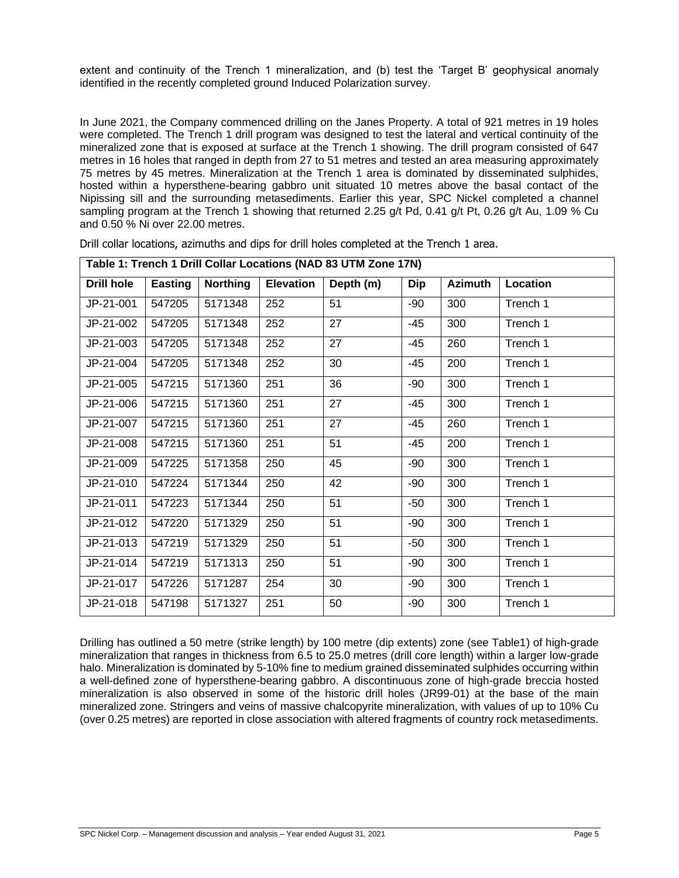extent and continuity of the Trench 1 mineralization, and (b) test the 'Target B' geophysical anomaly identified in the recently completed ground Induced Polarization survey.

In June 2021, the Company commenced drilling on the Janes Property. A total of 921 metres in 19 holes were completed. The Trench 1 drill program was designed to test the lateral and vertical continuity of the mineralized zone that is exposed at surface at the Trench 1 showing. The drill program consisted of 647 metres in 16 holes that ranged in depth from 27 to 51 metres and tested an area measuring approximately 75 metres by 45 metres. Mineralization at the Trench 1 area is dominated by disseminated sulphides, hosted within a hypersthene-bearing gabbro unit situated 10 metres above the basal contact of the Nipissing sill and the surrounding metasediments. Earlier this year, SPC Nickel completed a channel sampling program at the Trench 1 showing that returned 2.25 g/t Pd, 0.41 g/t Pt, 0.26 g/t Au, 1.09 % Cu and 0.50 % Ni over 22.00 metres.

|                   | Table 1: Trench 1 Drill Collar Locations (NAD 83 UTM Zone 17N) |                 |                  |           |            |                |          |  |  |
|-------------------|----------------------------------------------------------------|-----------------|------------------|-----------|------------|----------------|----------|--|--|
| <b>Drill hole</b> | <b>Easting</b>                                                 | <b>Northing</b> | <b>Elevation</b> | Depth (m) | <b>Dip</b> | <b>Azimuth</b> | Location |  |  |
| JP-21-001         | 547205                                                         | 5171348         | 252              | 51        | -90        | 300            | Trench 1 |  |  |
| JP-21-002         | 547205                                                         | 5171348         | 252              | 27        | -45        | 300            | Trench 1 |  |  |
| JP-21-003         | 547205                                                         | 5171348         | 252              | 27        | $-45$      | 260            | Trench 1 |  |  |
| JP-21-004         | 547205                                                         | 5171348         | 252              | 30        | $-45$      | 200            | Trench 1 |  |  |
| JP-21-005         | 547215                                                         | 5171360         | 251              | 36        | $-90$      | 300            | Trench 1 |  |  |
| JP-21-006         | 547215                                                         | 5171360         | 251              | 27        | $-45$      | 300            | Trench 1 |  |  |
| JP-21-007         | 547215                                                         | 5171360         | 251              | 27        | $-45$      | 260            | Trench 1 |  |  |
| JP-21-008         | 547215                                                         | 5171360         | 251              | 51        | $-45$      | 200            | Trench 1 |  |  |
| JP-21-009         | 547225                                                         | 5171358         | 250              | 45        | -90        | 300            | Trench 1 |  |  |
| JP-21-010         | 547224                                                         | 5171344         | 250              | 42        | -90        | 300            | Trench 1 |  |  |
| JP-21-011         | 547223                                                         | 5171344         | 250              | 51        | $-50$      | 300            | Trench 1 |  |  |
| JP-21-012         | 547220                                                         | 5171329         | 250              | 51        | $-90$      | 300            | Trench 1 |  |  |
| JP-21-013         | 547219                                                         | 5171329         | 250              | 51        | $-50$      | 300            | Trench 1 |  |  |
| JP-21-014         | 547219                                                         | 5171313         | 250              | 51        | -90        | 300            | Trench 1 |  |  |
| JP-21-017         | 547226                                                         | 5171287         | 254              | 30        | -90        | 300            | Trench 1 |  |  |
| JP-21-018         | 547198                                                         | 5171327         | 251              | 50        | $-90$      | 300            | Trench 1 |  |  |

Drill collar locations, azimuths and dips for drill holes completed at the Trench 1 area.

Drilling has outlined a 50 metre (strike length) by 100 metre (dip extents) zone (see Table1) of high-grade mineralization that ranges in thickness from 6.5 to 25.0 metres (drill core length) within a larger low-grade halo. Mineralization is dominated by 5-10% fine to medium grained disseminated sulphides occurring within a well-defined zone of hypersthene-bearing gabbro. A discontinuous zone of high-grade breccia hosted mineralization is also observed in some of the historic drill holes (JR99-01) at the base of the main mineralized zone. Stringers and veins of massive chalcopyrite mineralization, with values of up to 10% Cu (over 0.25 metres) are reported in close association with altered fragments of country rock metasediments.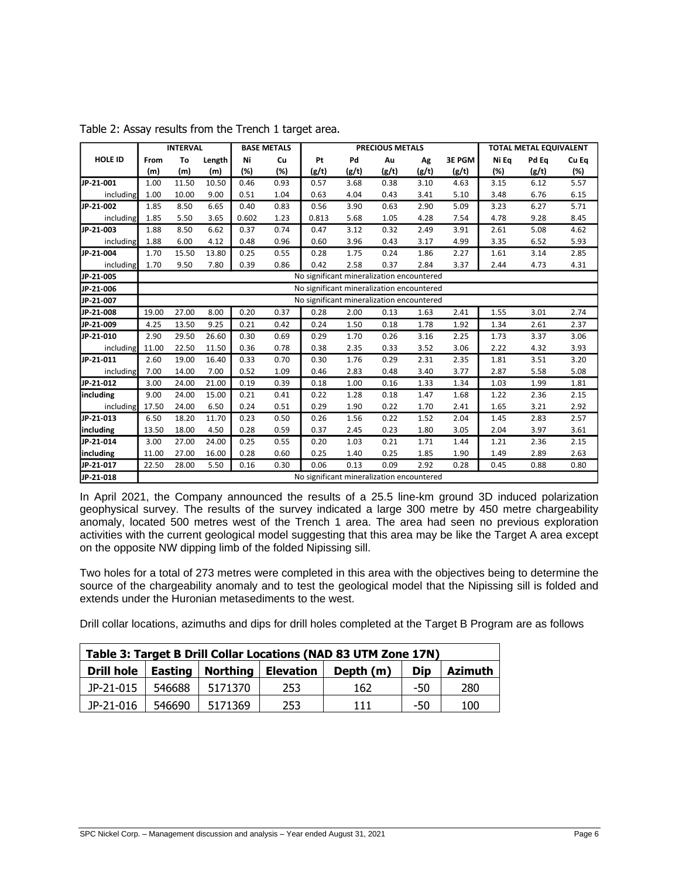|                |       | <b>INTERVAL</b> |        |       | <b>BASE METALS</b> |                                           |       | <b>PRECIOUS METALS</b> |       |        |       | <b>TOTAL METAL EQUIVALENT</b> |       |
|----------------|-------|-----------------|--------|-------|--------------------|-------------------------------------------|-------|------------------------|-------|--------|-------|-------------------------------|-------|
| <b>HOLE ID</b> | From  | To              | Length | Ni    | Cu                 | Pt                                        | Pd    | Au                     | Ag    | 3E PGM | Ni Ea | Pd Eq                         | Cu Eq |
|                | (m)   | (m)             | (m)    | (%)   | (%)                | (g/t)                                     | (g/t) | (g/t)                  | (g/t) | (g/t)  | (%)   | (g/t)                         | (%)   |
| JP-21-001      | 1.00  | 11.50           | 10.50  | 0.46  | 0.93               | 0.57                                      | 3.68  | 0.38                   | 3.10  | 4.63   | 3.15  | 6.12                          | 5.57  |
| including      | 1.00  | 10.00           | 9.00   | 0.51  | 1.04               | 0.63                                      | 4.04  | 0.43                   | 3.41  | 5.10   | 3.48  | 6.76                          | 6.15  |
| JP-21-002      | 1.85  | 8.50            | 6.65   | 0.40  | 0.83               | 0.56                                      | 3.90  | 0.63                   | 2.90  | 5.09   | 3.23  | 6.27                          | 5.71  |
| including      | 1.85  | 5.50            | 3.65   | 0.602 | 1.23               | 0.813                                     | 5.68  | 1.05                   | 4.28  | 7.54   | 4.78  | 9.28                          | 8.45  |
| JP-21-003      | 1.88  | 8.50            | 6.62   | 0.37  | 0.74               | 0.47                                      | 3.12  | 0.32                   | 2.49  | 3.91   | 2.61  | 5.08                          | 4.62  |
| including      | 1.88  | 6.00            | 4.12   | 0.48  | 0.96               | 0.60                                      | 3.96  | 0.43                   | 3.17  | 4.99   | 3.35  | 6.52                          | 5.93  |
| JP-21-004      | 1.70  | 15.50           | 13.80  | 0.25  | 0.55               | 0.28                                      | 1.75  | 0.24                   | 1.86  | 2.27   | 1.61  | 3.14                          | 2.85  |
| including      | 1.70  | 9.50            | 7.80   | 0.39  | 0.86               | 0.42                                      | 2.58  | 0.37                   | 2.84  | 3.37   | 2.44  | 4.73                          | 4.31  |
| JP-21-005      |       |                 |        |       |                    | No significant mineralization encountered |       |                        |       |        |       |                               |       |
| JP-21-006      |       |                 |        |       |                    | No significant mineralization encountered |       |                        |       |        |       |                               |       |
| JP-21-007      |       |                 |        |       |                    | No significant mineralization encountered |       |                        |       |        |       |                               |       |
| JP-21-008      | 19.00 | 27.00           | 8.00   | 0.20  | 0.37               | 0.28                                      | 2.00  | 0.13                   | 1.63  | 2.41   | 1.55  | 3.01                          | 2.74  |
| JP-21-009      | 4.25  | 13.50           | 9.25   | 0.21  | 0.42               | 0.24                                      | 1.50  | 0.18                   | 1.78  | 1.92   | 1.34  | 2.61                          | 2.37  |
| JP-21-010      | 2.90  | 29.50           | 26.60  | 0.30  | 0.69               | 0.29                                      | 1.70  | 0.26                   | 3.16  | 2.25   | 1.73  | 3.37                          | 3.06  |
| including      | 11.00 | 22.50           | 11.50  | 0.36  | 0.78               | 0.38                                      | 2.35  | 0.33                   | 3.52  | 3.06   | 2.22  | 4.32                          | 3.93  |
| JP-21-011      | 2.60  | 19.00           | 16.40  | 0.33  | 0.70               | 0.30                                      | 1.76  | 0.29                   | 2.31  | 2.35   | 1.81  | 3.51                          | 3.20  |
| including      | 7.00  | 14.00           | 7.00   | 0.52  | 1.09               | 0.46                                      | 2.83  | 0.48                   | 3.40  | 3.77   | 2.87  | 5.58                          | 5.08  |
| JP-21-012      | 3.00  | 24.00           | 21.00  | 0.19  | 0.39               | 0.18                                      | 1.00  | 0.16                   | 1.33  | 1.34   | 1.03  | 1.99                          | 1.81  |
| including      | 9.00  | 24.00           | 15.00  | 0.21  | 0.41               | 0.22                                      | 1.28  | 0.18                   | 1.47  | 1.68   | 1.22  | 2.36                          | 2.15  |
| including      | 17.50 | 24.00           | 6.50   | 0.24  | 0.51               | 0.29                                      | 1.90  | 0.22                   | 1.70  | 2.41   | 1.65  | 3.21                          | 2.92  |
| JP-21-013      | 6.50  | 18.20           | 11.70  | 0.23  | 0.50               | 0.26                                      | 1.56  | 0.22                   | 1.52  | 2.04   | 1.45  | 2.83                          | 2.57  |
| including      | 13.50 | 18.00           | 4.50   | 0.28  | 0.59               | 0.37                                      | 2.45  | 0.23                   | 1.80  | 3.05   | 2.04  | 3.97                          | 3.61  |
| JP-21-014      | 3.00  | 27.00           | 24.00  | 0.25  | 0.55               | 0.20                                      | 1.03  | 0.21                   | 1.71  | 1.44   | 1.21  | 2.36                          | 2.15  |
| including      | 11.00 | 27.00           | 16.00  | 0.28  | 0.60               | 0.25                                      | 1.40  | 0.25                   | 1.85  | 1.90   | 1.49  | 2.89                          | 2.63  |
| JP-21-017      | 22.50 | 28.00           | 5.50   | 0.16  | 0.30               | 0.06                                      | 0.13  | 0.09                   | 2.92  | 0.28   | 0.45  | 0.88                          | 0.80  |
| JP-21-018      |       |                 |        |       |                    | No significant mineralization encountered |       |                        |       |        |       |                               |       |

Table 2: Assay results from the Trench 1 target area.

In April 2021, the Company announced the results of a 25.5 line-km ground 3D induced polarization geophysical survey. The results of the survey indicated a large 300 metre by 450 metre chargeability anomaly, located 500 metres west of the Trench 1 area. The area had seen no previous exploration activities with the current geological model suggesting that this area may be like the Target A area except on the opposite NW dipping limb of the folded Nipissing sill.

Two holes for a total of 273 metres were completed in this area with the objectives being to determine the source of the chargeability anomaly and to test the geological model that the Nipissing sill is folded and extends under the Huronian metasediments to the west.

Drill collar locations, azimuths and dips for drill holes completed at the Target B Program are as follows

| Table 3: Target B Drill Collar Locations (NAD 83 UTM Zone 17N) |        |                    |           |           |     |                |  |  |
|----------------------------------------------------------------|--------|--------------------|-----------|-----------|-----|----------------|--|--|
| Drill hole                                                     |        | Easting   Northing | Elevation | Depth (m) | Dip | <b>Azimuth</b> |  |  |
| JP-21-015                                                      | 546688 | 5171370            | 253       | 162       | -50 | 280            |  |  |
| JP-21-016                                                      | 546690 | 5171369            | 253       | 111       | -50 | 100            |  |  |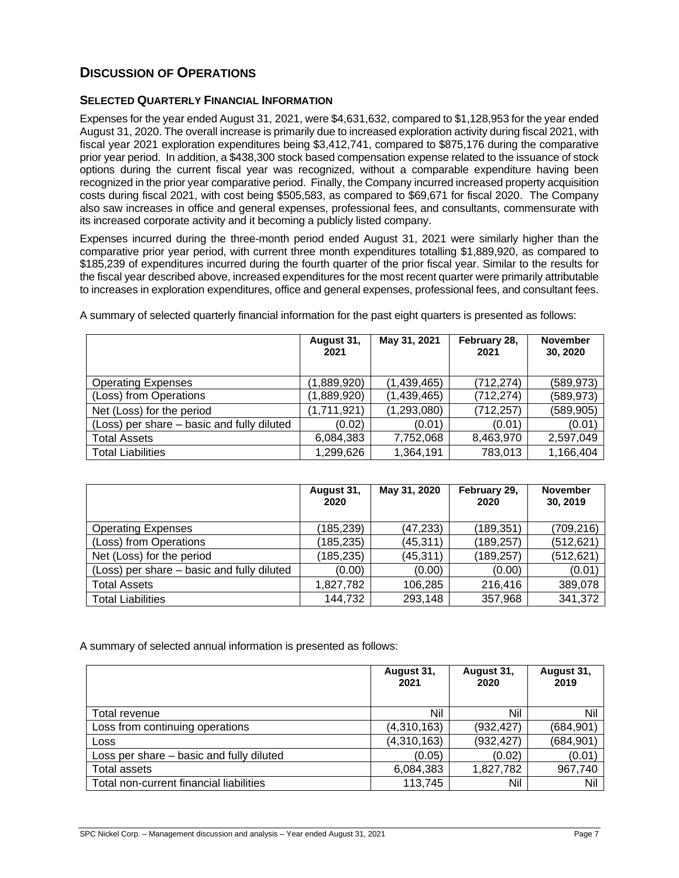# **DISCUSSION OF OPERATIONS**

#### **SELECTED QUARTERLY FINANCIAL INFORMATION**

Expenses for the year ended August 31, 2021, were \$4,631,632, compared to \$1,128,953 for the year ended August 31, 2020. The overall increase is primarily due to increased exploration activity during fiscal 2021, with fiscal year 2021 exploration expenditures being \$3,412,741, compared to \$875,176 during the comparative prior year period. In addition, a \$438,300 stock based compensation expense related to the issuance of stock options during the current fiscal year was recognized, without a comparable expenditure having been recognized in the prior year comparative period. Finally, the Company incurred increased property acquisition costs during fiscal 2021, with cost being \$505,583, as compared to \$69,671 for fiscal 2020. The Company also saw increases in office and general expenses, professional fees, and consultants, commensurate with its increased corporate activity and it becoming a publicly listed company.

Expenses incurred during the three-month period ended August 31, 2021 were similarly higher than the comparative prior year period, with current three month expenditures totalling \$1,889,920, as compared to \$185,239 of expenditures incurred during the fourth quarter of the prior fiscal year. Similar to the results for the fiscal year described above, increased expenditures for the most recent quarter were primarily attributable to increases in exploration expenditures, office and general expenses, professional fees, and consultant fees.

|                                            | August 31,<br>2021 | May 31, 2021 | February 28,<br>2021 | <b>November</b><br>30, 2020 |
|--------------------------------------------|--------------------|--------------|----------------------|-----------------------------|
| <b>Operating Expenses</b>                  | (1,889,920)        | (1,439,465)  | (712, 274)           | (589, 973)                  |
| (Loss) from Operations                     | (1,889,920)        | (1,439,465)  | (712, 274)           | (589, 973)                  |
| Net (Loss) for the period                  | (1,711,921)        | (1,293,080)  | (712,257)            | (589, 905)                  |
| (Loss) per share – basic and fully diluted | (0.02)             | (0.01)       | (0.01)               | (0.01)                      |
| <b>Total Assets</b>                        | 6,084,383          | 7,752,068    | 8,463,970            | 2,597,049                   |
| <b>Total Liabilities</b>                   | 1,299,626          | 1,364,191    | 783,013              | 1,166,404                   |

A summary of selected quarterly financial information for the past eight quarters is presented as follows:

|                                            | August 31,<br>2020 | May 31, 2020 | February 29,<br>2020 | <b>November</b><br>30, 2019 |
|--------------------------------------------|--------------------|--------------|----------------------|-----------------------------|
| <b>Operating Expenses</b>                  | (185, 239)         | (47, 233)    | (189, 351)           | (709, 216)                  |
| (Loss) from Operations                     | (185, 235)         | (45, 311)    | (189, 257)           | (512, 621)                  |
| Net (Loss) for the period                  | (185, 235)         | (45, 311)    | (189, 257)           | (512, 621)                  |
| (Loss) per share - basic and fully diluted | (0.00)             | (0.00)       | (0.00)               | (0.01)                      |
| <b>Total Assets</b>                        | 1,827,782          | 106,285      | 216,416              | 389,078                     |
| <b>Total Liabilities</b>                   | 144,732            | 293,148      | 357,968              | 341,372                     |

A summary of selected annual information is presented as follows:

|                                          | August 31,<br>2021 | August 31,<br>2020 | August 31,<br>2019 |
|------------------------------------------|--------------------|--------------------|--------------------|
| Total revenue                            | Nil                | Nil                | Nil                |
| Loss from continuing operations          | (4,310,163)        | (932, 427)         | (684, 901)         |
| Loss                                     | (4,310,163)        | (932, 427)         | (684, 901)         |
| Loss per share – basic and fully diluted | (0.05)             | (0.02)             | (0.01)             |
| Total assets                             | 6,084,383          | 1,827,782          | 967,740            |
| Total non-current financial liabilities  | 113,745            | Nil                | Nil                |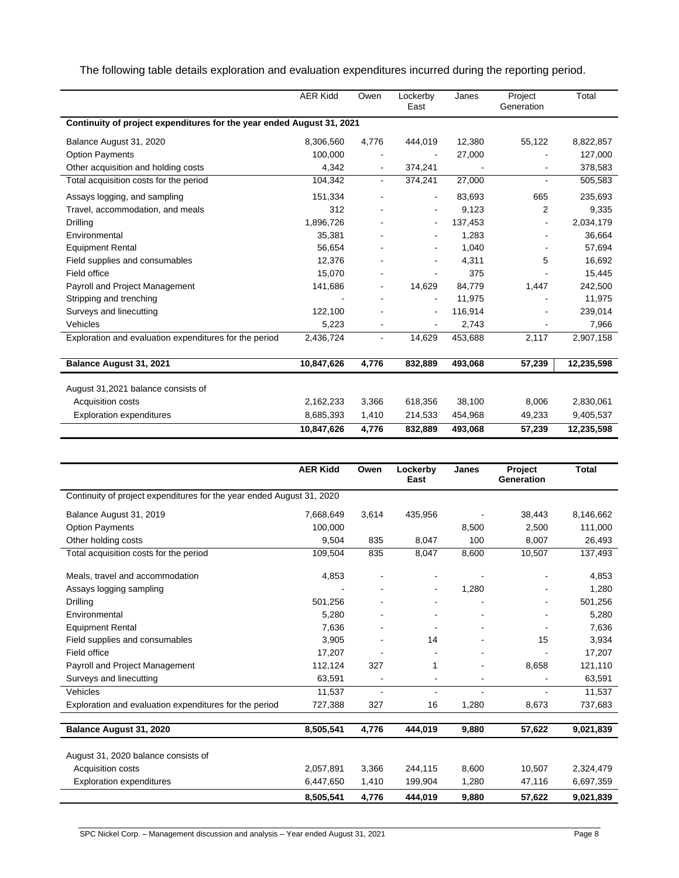The following table details exploration and evaluation expenditures incurred during the reporting period.

|                                                                       | <b>AER Kidd</b> | Owen                         | Lockerby<br>East             | Janes   | Project<br>Generation | Total      |  |  |  |
|-----------------------------------------------------------------------|-----------------|------------------------------|------------------------------|---------|-----------------------|------------|--|--|--|
| Continuity of project expenditures for the year ended August 31, 2021 |                 |                              |                              |         |                       |            |  |  |  |
| Balance August 31, 2020                                               | 8,306,560       | 4,776                        | 444,019                      | 12,380  | 55,122                | 8,822,857  |  |  |  |
| <b>Option Payments</b>                                                | 100,000         |                              |                              | 27,000  |                       | 127,000    |  |  |  |
| Other acquisition and holding costs                                   | 4,342           | $\blacksquare$               | 374,241                      |         |                       | 378,583    |  |  |  |
| Total acquisition costs for the period                                | 104,342         | $\overline{\phantom{0}}$     | 374,241                      | 27,000  |                       | 505,583    |  |  |  |
| Assays logging, and sampling                                          | 151,334         |                              | $\overline{\phantom{0}}$     | 83,693  | 665                   | 235,693    |  |  |  |
| Travel, accommodation, and meals                                      | 312             |                              |                              | 9,123   | 2                     | 9,335      |  |  |  |
| Drilling                                                              | 1,896,726       |                              | $\qquad \qquad \blacksquare$ | 137,453 |                       | 2,034,179  |  |  |  |
| Environmental                                                         | 35,381          |                              |                              | 1,283   |                       | 36,664     |  |  |  |
| <b>Equipment Rental</b>                                               | 56,654          |                              |                              | 1,040   |                       | 57,694     |  |  |  |
| Field supplies and consumables                                        | 12,376          |                              |                              | 4,311   | 5                     | 16,692     |  |  |  |
| Field office                                                          | 15,070          |                              |                              | 375     |                       | 15,445     |  |  |  |
| Payroll and Project Management                                        | 141,686         | $\qquad \qquad \blacksquare$ | 14,629                       | 84,779  | 1,447                 | 242,500    |  |  |  |
| Stripping and trenching                                               |                 |                              |                              | 11,975  |                       | 11,975     |  |  |  |
| Surveys and linecutting                                               | 122,100         |                              | $\overline{\phantom{0}}$     | 116,914 |                       | 239,014    |  |  |  |
| Vehicles                                                              | 5,223           |                              | ٠                            | 2,743   |                       | 7,966      |  |  |  |
| Exploration and evaluation expenditures for the period                | 2,436,724       | $\overline{\phantom{0}}$     | 14,629                       | 453,688 | 2,117                 | 2,907,158  |  |  |  |
| Balance August 31, 2021                                               | 10,847,626      | 4,776                        | 832,889                      | 493,068 | 57,239                | 12,235,598 |  |  |  |
| August 31,2021 balance consists of                                    |                 |                              |                              |         |                       |            |  |  |  |
| Acquisition costs                                                     | 2,162,233       | 3,366                        | 618,356                      | 38,100  | 8,006                 | 2,830,061  |  |  |  |
| <b>Exploration expenditures</b>                                       | 8,685,393       | 1,410                        | 214,533                      | 454,968 | 49,233                | 9,405,537  |  |  |  |
|                                                                       | 10,847,626      | 4,776                        | 832,889                      | 493,068 | 57,239                | 12,235,598 |  |  |  |

|                                                                       | <b>AER Kidd</b> | Owen                     | Lockerby<br>East | Janes | Project<br>Generation | <b>Total</b> |
|-----------------------------------------------------------------------|-----------------|--------------------------|------------------|-------|-----------------------|--------------|
| Continuity of project expenditures for the year ended August 31, 2020 |                 |                          |                  |       |                       |              |
| Balance August 31, 2019                                               | 7,668,649       | 3,614                    | 435,956          |       | 38,443                | 8,146,662    |
| <b>Option Payments</b>                                                | 100.000         |                          |                  | 8,500 | 2.500                 | 111.000      |
| Other holding costs                                                   | 9,504           | 835                      | 8,047            | 100   | 8,007                 | 26,493       |
| Total acquisition costs for the period                                | 109,504         | 835                      | 8,047            | 8,600 | 10,507                | 137,493      |
| Meals, travel and accommodation                                       | 4,853           |                          |                  |       |                       | 4,853        |
| Assays logging sampling                                               |                 |                          | ٠                | 1,280 |                       | 1,280        |
| Drilling                                                              | 501,256         |                          |                  |       |                       | 501,256      |
| Environmental                                                         | 5,280           |                          |                  |       |                       | 5,280        |
| <b>Equipment Rental</b>                                               | 7,636           |                          |                  |       |                       | 7,636        |
| Field supplies and consumables                                        | 3.905           |                          | 14               |       | 15                    | 3,934        |
| Field office                                                          | 17,207          |                          |                  |       |                       | 17.207       |
| Payroll and Project Management                                        | 112,124         | 327                      | 1                |       | 8,658                 | 121,110      |
| Surveys and linecutting                                               | 63,591          |                          |                  |       |                       | 63,591       |
| Vehicles                                                              | 11,537          | $\overline{\phantom{a}}$ |                  |       | $\blacksquare$        | 11,537       |
| Exploration and evaluation expenditures for the period                | 727,388         | 327                      | 16               | 1,280 | 8,673                 | 737,683      |
| Balance August 31, 2020                                               | 8,505,541       | 4,776                    | 444.019          | 9,880 | 57,622                | 9,021,839    |
|                                                                       |                 |                          |                  |       |                       |              |
| August 31, 2020 balance consists of                                   |                 |                          |                  |       |                       |              |
| <b>Acquisition costs</b>                                              | 2,057,891       | 3.366                    | 244,115          | 8,600 | 10.507                | 2,324,479    |
| <b>Exploration expenditures</b>                                       | 6,447,650       | 1,410                    | 199,904          | 1,280 | 47,116                | 6,697,359    |
|                                                                       | 8,505,541       | 4,776                    | 444,019          | 9,880 | 57,622                | 9,021,839    |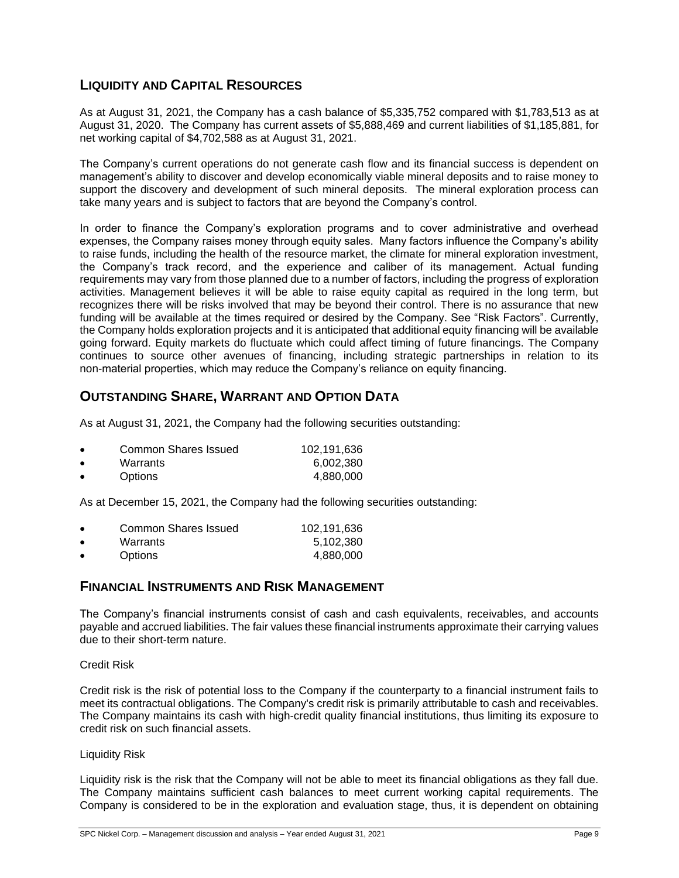# **LIQUIDITY AND CAPITAL RESOURCES**

As at August 31, 2021, the Company has a cash balance of \$5,335,752 compared with \$1,783,513 as at August 31, 2020. The Company has current assets of \$5,888,469 and current liabilities of \$1,185,881, for net working capital of \$4,702,588 as at August 31, 2021.

The Company's current operations do not generate cash flow and its financial success is dependent on management's ability to discover and develop economically viable mineral deposits and to raise money to support the discovery and development of such mineral deposits. The mineral exploration process can take many years and is subject to factors that are beyond the Company's control.

In order to finance the Company's exploration programs and to cover administrative and overhead expenses, the Company raises money through equity sales. Many factors influence the Company's ability to raise funds, including the health of the resource market, the climate for mineral exploration investment, the Company's track record, and the experience and caliber of its management. Actual funding requirements may vary from those planned due to a number of factors, including the progress of exploration activities. Management believes it will be able to raise equity capital as required in the long term, but recognizes there will be risks involved that may be beyond their control. There is no assurance that new funding will be available at the times required or desired by the Company. See "Risk Factors". Currently, the Company holds exploration projects and it is anticipated that additional equity financing will be available going forward. Equity markets do fluctuate which could affect timing of future financings. The Company continues to source other avenues of financing, including strategic partnerships in relation to its non-material properties, which may reduce the Company's reliance on equity financing.

# **OUTSTANDING SHARE, WARRANT AND OPTION DATA**

As at August 31, 2021, the Company had the following securities outstanding:

|           | Common Shares Issued | 102.191.636 |
|-----------|----------------------|-------------|
| $\bullet$ | Warrants             | 6.002.380   |
| $\bullet$ | <b>Options</b>       | 4.880.000   |

As at December 15, 2021, the Company had the following securities outstanding:

| $\bullet$ | Common Shares Issued | 102.191.636 |
|-----------|----------------------|-------------|
| $\bullet$ | Warrants             | 5,102,380   |
| $\bullet$ | <b>Options</b>       | 4.880.000   |

### **FINANCIAL INSTRUMENTS AND RISK MANAGEMENT**

The Company's financial instruments consist of cash and cash equivalents, receivables, and accounts payable and accrued liabilities. The fair values these financial instruments approximate their carrying values due to their short-term nature.

Credit Risk

Credit risk is the risk of potential loss to the Company if the counterparty to a financial instrument fails to meet its contractual obligations. The Company's credit risk is primarily attributable to cash and receivables. The Company maintains its cash with high-credit quality financial institutions, thus limiting its exposure to credit risk on such financial assets.

#### Liquidity Risk

Liquidity risk is the risk that the Company will not be able to meet its financial obligations as they fall due. The Company maintains sufficient cash balances to meet current working capital requirements. The Company is considered to be in the exploration and evaluation stage, thus, it is dependent on obtaining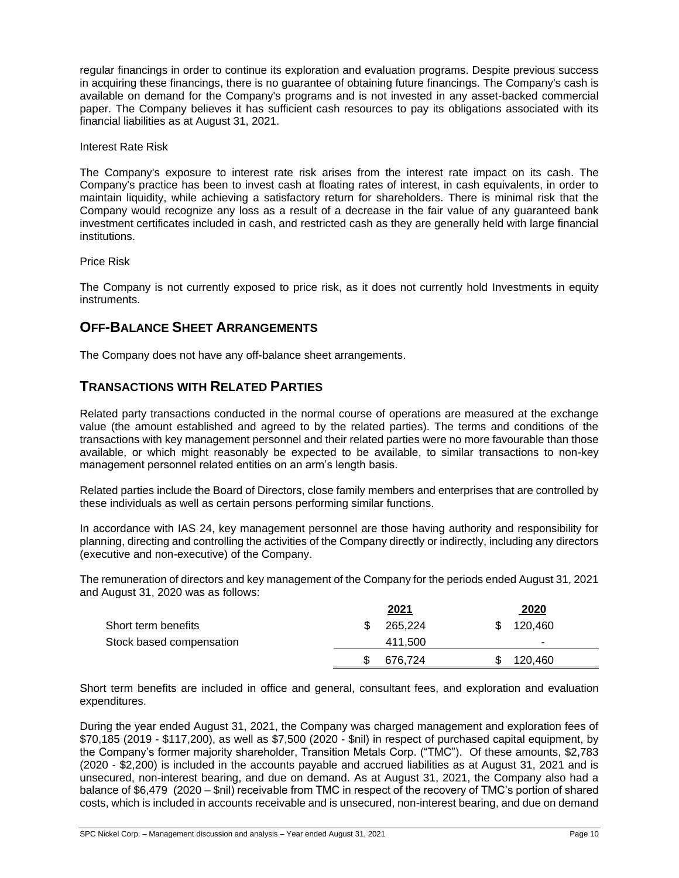regular financings in order to continue its exploration and evaluation programs. Despite previous success in acquiring these financings, there is no guarantee of obtaining future financings. The Company's cash is available on demand for the Company's programs and is not invested in any asset-backed commercial paper. The Company believes it has sufficient cash resources to pay its obligations associated with its financial liabilities as at August 31, 2021.

Interest Rate Risk

The Company's exposure to interest rate risk arises from the interest rate impact on its cash. The Company's practice has been to invest cash at floating rates of interest, in cash equivalents, in order to maintain liquidity, while achieving a satisfactory return for shareholders. There is minimal risk that the Company would recognize any loss as a result of a decrease in the fair value of any guaranteed bank investment certificates included in cash, and restricted cash as they are generally held with large financial institutions.

Price Risk

The Company is not currently exposed to price risk, as it does not currently hold Investments in equity instruments.

### **OFF-BALANCE SHEET ARRANGEMENTS**

The Company does not have any off-balance sheet arrangements.

# **TRANSACTIONS WITH RELATED PARTIES**

Related party transactions conducted in the normal course of operations are measured at the exchange value (the amount established and agreed to by the related parties). The terms and conditions of the transactions with key management personnel and their related parties were no more favourable than those available, or which might reasonably be expected to be available, to similar transactions to non-key management personnel related entities on an arm's length basis.

Related parties include the Board of Directors, close family members and enterprises that are controlled by these individuals as well as certain persons performing similar functions.

In accordance with IAS 24, key management personnel are those having authority and responsibility for planning, directing and controlling the activities of the Company directly or indirectly, including any directors (executive and non-executive) of the Company.

The remuneration of directors and key management of the Company for the periods ended August 31, 2021 and August 31, 2020 was as follows:

|                          | 2021    |    | 2020    |  |
|--------------------------|---------|----|---------|--|
| Short term benefits      | 265.224 | S. | 120.460 |  |
| Stock based compensation | 411.500 |    |         |  |
|                          | 676.724 |    | 120.460 |  |
|                          |         |    |         |  |

Short term benefits are included in office and general, consultant fees, and exploration and evaluation expenditures.

During the year ended August 31, 2021, the Company was charged management and exploration fees of \$70,185 (2019 - \$117,200), as well as \$7,500 (2020 - \$nil) in respect of purchased capital equipment, by the Company's former majority shareholder, Transition Metals Corp. ("TMC"). Of these amounts, \$2,783 (2020 - \$2,200) is included in the accounts payable and accrued liabilities as at August 31, 2021 and is unsecured, non-interest bearing, and due on demand. As at August 31, 2021, the Company also had a balance of \$6,479 (2020 – \$nil) receivable from TMC in respect of the recovery of TMC's portion of shared costs, which is included in accounts receivable and is unsecured, non-interest bearing, and due on demand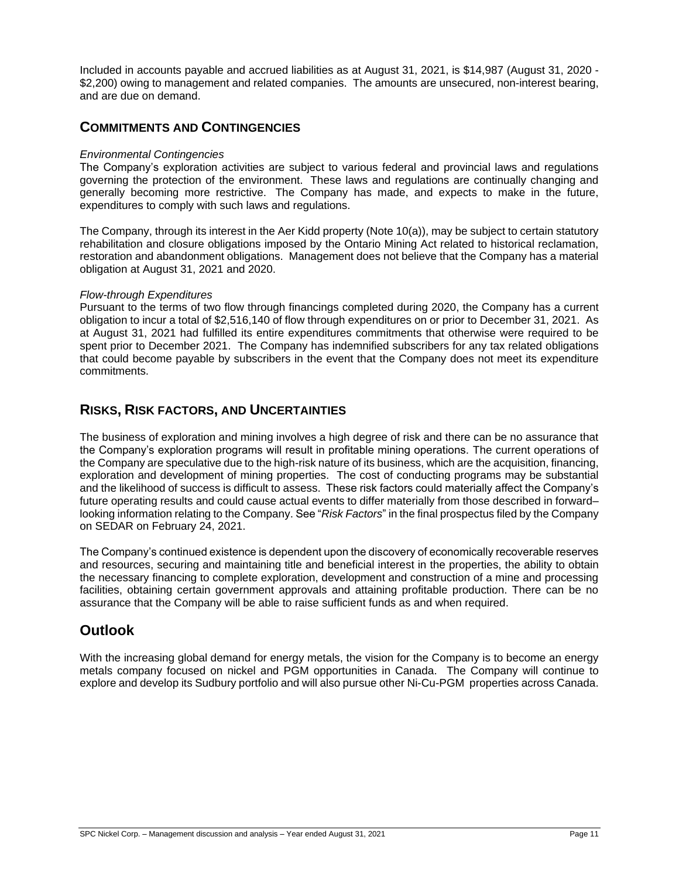Included in accounts payable and accrued liabilities as at August 31, 2021, is \$14,987 (August 31, 2020 - \$2,200) owing to management and related companies. The amounts are unsecured, non-interest bearing, and are due on demand.

### **COMMITMENTS AND CONTINGENCIES**

#### *Environmental Contingencies*

The Company's exploration activities are subject to various federal and provincial laws and regulations governing the protection of the environment. These laws and regulations are continually changing and generally becoming more restrictive. The Company has made, and expects to make in the future, expenditures to comply with such laws and regulations.

The Company, through its interest in the Aer Kidd property (Note 10(a)), may be subject to certain statutory rehabilitation and closure obligations imposed by the Ontario Mining Act related to historical reclamation, restoration and abandonment obligations. Management does not believe that the Company has a material obligation at August 31, 2021 and 2020.

#### *Flow-through Expenditures*

Pursuant to the terms of two flow through financings completed during 2020, the Company has a current obligation to incur a total of \$2,516,140 of flow through expenditures on or prior to December 31, 2021. As at August 31, 2021 had fulfilled its entire expenditures commitments that otherwise were required to be spent prior to December 2021. The Company has indemnified subscribers for any tax related obligations that could become payable by subscribers in the event that the Company does not meet its expenditure commitments.

### **RISKS, RISK FACTORS, AND UNCERTAINTIES**

The business of exploration and mining involves a high degree of risk and there can be no assurance that the Company's exploration programs will result in profitable mining operations. The current operations of the Company are speculative due to the high-risk nature of its business, which are the acquisition, financing, exploration and development of mining properties. The cost of conducting programs may be substantial and the likelihood of success is difficult to assess. These risk factors could materially affect the Company's future operating results and could cause actual events to differ materially from those described in forward– looking information relating to the Company. See "*Risk Factors*" in the final prospectus filed by the Company on SEDAR on February 24, 2021.

The Company's continued existence is dependent upon the discovery of economically recoverable reserves and resources, securing and maintaining title and beneficial interest in the properties, the ability to obtain the necessary financing to complete exploration, development and construction of a mine and processing facilities, obtaining certain government approvals and attaining profitable production. There can be no assurance that the Company will be able to raise sufficient funds as and when required.

# **Outlook**

With the increasing global demand for energy metals, the vision for the Company is to become an energy metals company focused on nickel and PGM opportunities in Canada. The Company will continue to explore and develop its Sudbury portfolio and will also pursue other Ni-Cu-PGM properties across Canada.